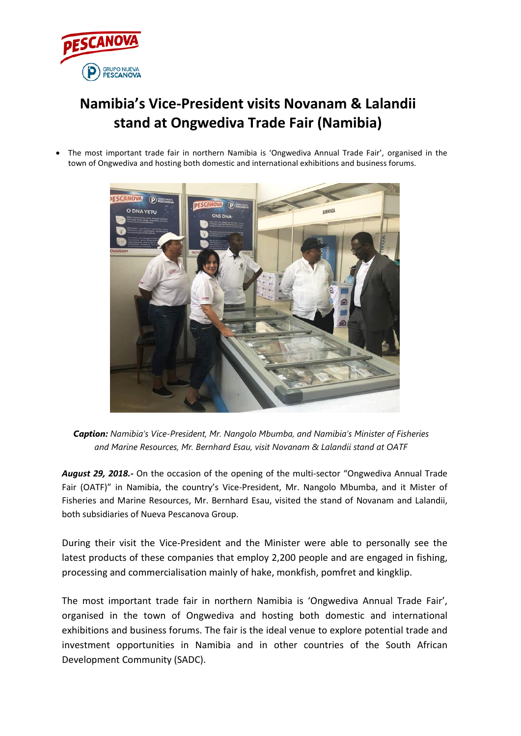

## **Namibia's Vice-President visits Novanam & Lalandii stand at Ongwediva Trade Fair (Namibia)**

• The most important trade fair in northern Namibia is 'Ongwediva Annual Trade Fair', organised in the town of Ongwediva and hosting both domestic and international exhibitions and business forums.



*Caption: Namibia's Vice-President, Mr. Nangolo Mbumba, and Namibia's Minister of Fisheries and Marine Resources, Mr. Bernhard Esau, visit Novanam & Lalandii stand at OATF*

*August 29, 2018.-* On the occasion of the opening of the multi-sector "Ongwediva Annual Trade Fair (OATF)" in Namibia, the country's Vice-President, Mr. Nangolo Mbumba, and it Mister of Fisheries and Marine Resources, Mr. Bernhard Esau, visited the stand of Novanam and Lalandii, both subsidiaries of Nueva Pescanova Group.

During their visit the Vice-President and the Minister were able to personally see the latest products of these companies that employ 2,200 people and are engaged in fishing, processing and commercialisation mainly of hake, monkfish, pomfret and kingklip.

The most important trade fair in northern Namibia is 'Ongwediva Annual Trade Fair', organised in the town of Ongwediva and hosting both domestic and international exhibitions and business forums. The fair is the ideal venue to explore potential trade and investment opportunities in Namibia and in other countries of the South African Development Community (SADC).